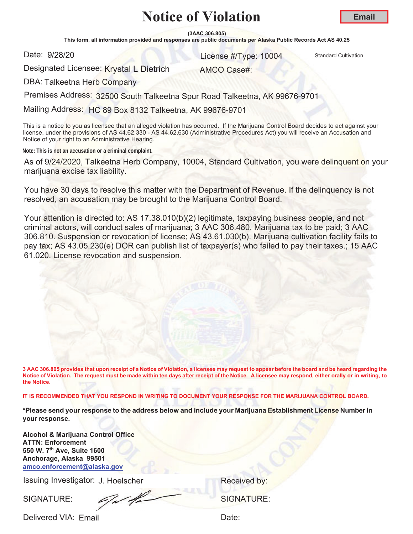**(3AAC 306.805)**

This form, all information provided and responses are public documents per Alaska Public Records Act AS 40.25

Date: 9/28/20

and 28/20 **10004** Standard Cultivation Cultivation Cultivation Cultivation Cultivation

Designated Licensee: Krystal L Dietrich

AMCO Case#:

DBA: Talkeetna Herb Company

Premises Address: 32500 South Talkeetna Spur Road Talkeetna, AK 99676-9701

Mailing Address: HC 89 Box 8132 Talkeetna, AK 99676-9701

This is a notice to you as licensee that an alleged violation has occurred. If the Marijuana Control Board decides to act against your license, under the provisions of AS 44.62.330 - AS 44.62.630 (Administrative Procedures Act) you will receive an Accusation and Notice of your right to an Administrative Hearing.

**Note: This is not an accusation or a criminal complaint.**

As of 9/24/2020, Talkeetna Herb Company, 10004, Standard Cultivation, you were delinquent on your marijuana excise tax liability.

You have 30 days to resolve this matter with the Department of Revenue. If the delinquency is not resolved, an accusation may be brought to the Marijuana Control Board.

Your attention is directed to: AS 17.38.010(b)(2) legitimate, taxpaying business people, and not criminal actors, will conduct sales of marijuana; 3 AAC 306.480. Marijuana tax to be paid; 3 AAC 306.810. Suspension or revocation of license; AS 43.61.030(b). Marijuana cultivation facility fails to pay tax; AS 43.05.230(e) DOR can publish list of taxpayer(s) who failed to pay their taxes.; 15 AAC 61.020. License revocation and suspension.

**3 AAC 306.805 provides that upon receipt of a Notice of Violation, a licensee may request to appear before the board and be heard regarding the Notice of Violation. The request must be made within ten days after receipt of the Notice. A licensee may respond, either orally or in writing, to the Notice.** 

**IT IS RECOMMENDED THAT YOU RESPOND IN WRITING TO DOCUMENT YOUR RESPONSE FOR THE MARIJUANA CONTROL BOARD.**

**\*Please send your response to the address below and include your Marijuana Establishment License Number in your response.** 

**Alcohol & Marijuana Control Office ATTN: Enforcement 550 W. 7th Ave, Suite 1600 Anchorage, Alaska 99501 amco.enforcement@alaska.gov**

Issuing Investigator: J. Hoelscher **Election Control Control Control Control Control Control Control Control Control Control Control Control Control Control Control Control Control Control Control Control Control Control C** 

SIGNATURE: SIGNATURE: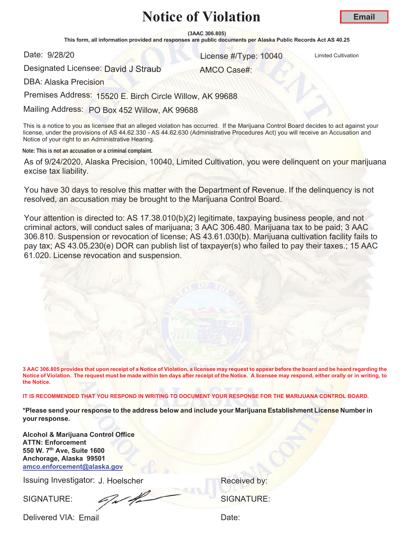**(3AAC 306.805)**

This form, all information provided and responses are public documents per Alaska Public Records Act AS 40.25

Date: 9/28/20

er and the United Cultivation Control of the United Cultivation Control of the United Cultivation

AMCO Case#:

Designated Licensee: <mark>David J Straub</mark>

DBA: Alaska Precision

Premises Address: 15520 E. Birch Circle Willow, AK 99688

Mailing Address: PO Box 452 Willow, AK 99688

This is a notice to you as licensee that an alleged violation has occurred. If the Marijuana Control Board decides to act against your license, under the provisions of AS 44.62.330 - AS 44.62.630 (Administrative Procedures Act) you will receive an Accusation and Notice of your right to an Administrative Hearing.

**Note: This is not an accusation or a criminal complaint.**

As of 9/24/2020, Alaska Precision, 10040, Limited Cultivation, you were delinquent on your marijuana excise tax liability.

You have 30 days to resolve this matter with the Department of Revenue. If the delinquency is not resolved, an accusation may be brought to the Marijuana Control Board.

Your attention is directed to: AS 17.38.010(b)(2) legitimate, taxpaying business people, and not criminal actors, will conduct sales of marijuana; 3 AAC 306.480. Marijuana tax to be paid; 3 AAC 306.810. Suspension or revocation of license; AS 43.61.030(b). Marijuana cultivation facility fails to pay tax; AS 43.05.230(e) DOR can publish list of taxpayer(s) who failed to pay their taxes.; 15 AAC 61.020. License revocation and suspension.

**3 AAC 306.805 provides that upon receipt of a Notice of Violation, a licensee may request to appear before the board and be heard regarding the Notice of Violation. The request must be made within ten days after receipt of the Notice. A licensee may respond, either orally or in writing, to the Notice.** 

**IT IS RECOMMENDED THAT YOU RESPOND IN WRITING TO DOCUMENT YOUR RESPONSE FOR THE MARIJUANA CONTROL BOARD.**

**\*Please send your response to the address below and include your Marijuana Establishment License Number in yourresponse.**

**Alcohol & Marijuana Control Office ATTN: Enforcement 550 W. 7th Ave, Suite 1600 Anchorage, Alaska 99501 amco.enforcement@alaska.gov**

Issuing Investigator: J. Hoelscher **Election Control Control Control Control Control Control Control Control Control Control Control Control Control Control Control Control Control Control Control Control Control Control C** 

SIGNATURE: SIGNATURE: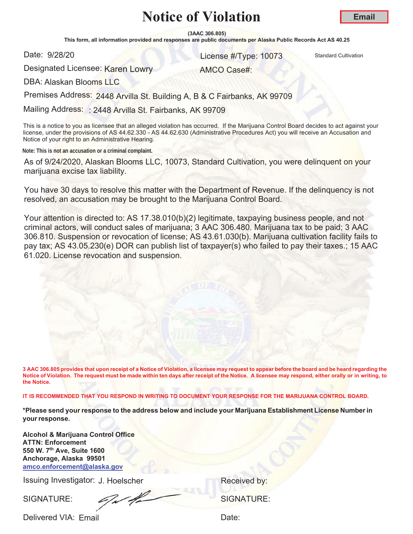**(3AAC 306.805)**

This form, all information provided and responses are public documents per Alaska Public Records Act AS 40.25

Date: 9/28/20

er and the United Standard Cultivation Control of the United Standard Cultivation Cultivation

Designated Licensee: <mark>Karen Lowr</mark>y

AMCO Case#:

DBA: Alaskan Blooms LLC

Premises Address: 2448 Arvilla St. Building A, B & C Fairbanks, AK 99709

Mailing Address: : 2448 Arvilla St. Fairbanks, AK 99709

This is a notice to you as licensee that an alleged violation has occurred. If the Marijuana Control Board decides to act against your license, under the provisions of AS 44.62.330 - AS 44.62.630 (Administrative Procedures Act) you will receive an Accusation and Notice of your right to an Administrative Hearing.

**Note: This is not an accusation or a criminal complaint.**

As of 9/24/2020, Alaskan Blooms LLC, 10073, Standard Cultivation, you were delinquent on your marijuana excise tax liability.

You have 30 days to resolve this matter with the Department of Revenue. If the delinquency is not resolved, an accusation may be brought to the Marijuana Control Board.

Your attention is directed to: AS 17.38.010(b)(2) legitimate, taxpaying business people, and not criminal actors, will conduct sales of marijuana; 3 AAC 306.480. Marijuana tax to be paid; 3 AAC 306.810. Suspension or revocation of license; AS 43.61.030(b). Marijuana cultivation facility fails to pay tax; AS 43.05.230(e) DOR can publish list of taxpayer(s) who failed to pay their taxes.; 15 AAC 61.020. License revocation and suspension.

**3 AAC 306.805 provides that upon receipt of a Notice of Violation, a licensee may request to appear before the board and be heard regarding the Notice of Violation. The request must be made within ten days after receipt of the Notice. A licensee may respond, either orally or in writing, to the Notice.** 

**IT IS RECOMMENDED THAT YOU RESPOND IN WRITING TO DOCUMENT YOUR RESPONSE FOR THE MARIJUANA CONTROL BOARD.**

**\*Please send your response to the address below and include your Marijuana Establishment License Number in your response.** 

**Alcohol & Marijuana Control Office ATTN: Enforcement 550 W. 7th Ave, Suite 1600 Anchorage, Alaska 99501 amco.enforcement@alaska.gov**

Issuing Investigator: J. Hoelscher **Election Control Control Control Control Control Control Control Control Control Control Control Control Control Control Control Control Control Control Control Control Control Control C** 

SIGNATURE: SIGNATURE: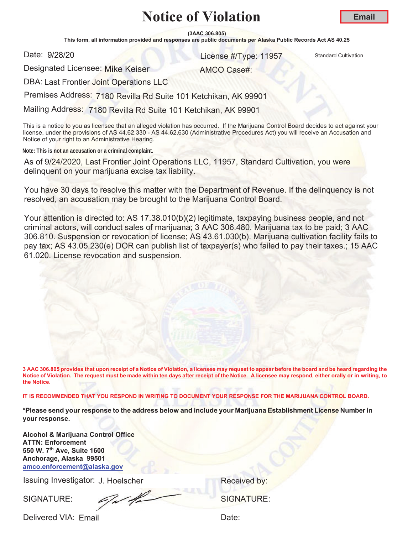**(3AAC 306.805)**

This form, all information provided and responses are public documents per Alaska Public Records Act AS 40.25

Date: 9/28/20

er and the United Standard Cultivation Control of the United Standard Cultivation Cultivation

Designated Licensee: Mike Keiser

AMCO Case#:

DBA: Last Frontier Joint Operations LLC

Premises Address: 7180 Revilla Rd Suite 101 Ketchikan, AK 99901

Mailing Address: 7180 Revilla Rd Suite 101 Ketchikan, AK 99901

This is a notice to you as licensee that an alleged violation has occurred. If the Marijuana Control Board decides to act against your license, under the provisions of AS 44.62.330 - AS 44.62.630 (Administrative Procedures Act) you will receive an Accusation and Notice of your right to an Administrative Hearing.

**Note: This is not an accusation or a criminal complaint.**

As of 9/24/2020, Last Frontier Joint Operations LLC, 11957, Standard Cultivation, you were delinquent on your marijuana excise tax liability.

You have 30 days to resolve this matter with the Department of Revenue. If the delinquency is not resolved, an accusation may be brought to the Marijuana Control Board.

Your attention is directed to: AS 17.38.010(b)(2) legitimate, taxpaying business people, and not criminal actors, will conduct sales of marijuana; 3 AAC 306.480. Marijuana tax to be paid; 3 AAC 306.810. Suspension or revocation of license; AS 43.61.030(b). Marijuana cultivation facility fails to pay tax; AS 43.05.230(e) DOR can publish list of taxpayer(s) who failed to pay their taxes.; 15 AAC 61.020. License revocation and suspension.

**3 AAC 306.805 provides that upon receipt of a Notice of Violation, a licensee may request to appear before the board and be heard regarding the Notice of Violation. The request must be made within ten days after receipt of the Notice. A licensee may respond, either orally or in writing, to the Notice.** 

**IT IS RECOMMENDED THAT YOU RESPOND IN WRITING TO DOCUMENT YOUR RESPONSE FOR THE MARIJUANA CONTROL BOARD.**

**\*Please send your response to the address below and include your Marijuana Establishment License Number in your response.**

**Alcohol & Marijuana Control Office ATTN: Enforcement 550 W. 7th Ave, Suite 1600 Anchorage, Alaska 99501 amco.enforcement@alaska.gov**

Issuing Investigator: J. Hoelscher **Election Control Control Control Control Control Control Control Control Control Control Control Control Control Control Control Control Control Control Control Control Control Control C** 

SIGNATURE: SIGNATURE: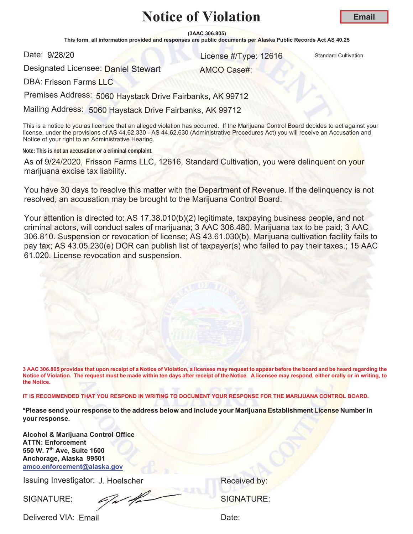**(3AAC 306.805)**

This form, all information provided and responses are public documents per Alaska Public Records Act AS 40.25

Date: 9/28/20

er and the United Standard Cultivation Control of the United Standard Cultivation Cultivation

AMCO Case#:

Designated Licensee: <mark>Daniel Stewart</mark>

DBA: Frisson Farms LLC

Premises Address: 5060 Haystack Drive Fairbanks, AK 99712

Mailing Address: 5060 Haystack Drive Fairbanks, AK 99712

This is a notice to you as licensee that an alleged violation has occurred. If the Marijuana Control Board decides to act against your license, under the provisions of AS 44.62.330 - AS 44.62.630 (Administrative Procedures Act) you will receive an Accusation and Notice of your right to an Administrative Hearing.

**Note: This is not an accusation or a criminal complaint.**

As of 9/24/2020, Frisson Farms LLC, 12616, Standard Cultivation, you were delinquent on your marijuana excise tax liability.

You have 30 days to resolve this matter with the Department of Revenue. If the delinquency is not resolved, an accusation may be brought to the Marijuana Control Board.

Your attention is directed to: AS 17.38.010(b)(2) legitimate, taxpaying business people, and not criminal actors, will conduct sales of marijuana; 3 AAC 306.480. Marijuana tax to be paid; 3 AAC 306.810. Suspension or revocation of license; AS 43.61.030(b). Marijuana cultivation facility fails to pay tax; AS 43.05.230(e) DOR can publish list of taxpayer(s) who failed to pay their taxes.; 15 AAC 61.020. License revocation and suspension.

**3 AAC 306.805 provides that upon receipt of a Notice of Violation, a licensee may request to appear before the board and be heard regarding the Notice of Violation. The request must be made within ten days after receipt of the Notice. A licensee may respond, either orally or in writing, to the Notice.** 

**IT IS RECOMMENDED THAT YOU RESPOND IN WRITING TO DOCUMENT YOUR RESPONSE FOR THE MARIJUANA CONTROL BOARD.**

**\*Please send your response to the address below and include your Marijuana Establishment License Number in yourresponse.**

**Alcohol & Marijuana Control Office ATTN: Enforcement 550 W. 7th Ave, Suite 1600 Anchorage, Alaska 99501 amco.enforcement@alaska.gov**

Issuing Investigator: J. Hoelscher **Election Control Control Control Control Control Control Control Control Control Control Control Control Control Control Control Control Control Control Control Control Control Control C** 

SIGNATURE: SIGNATURE: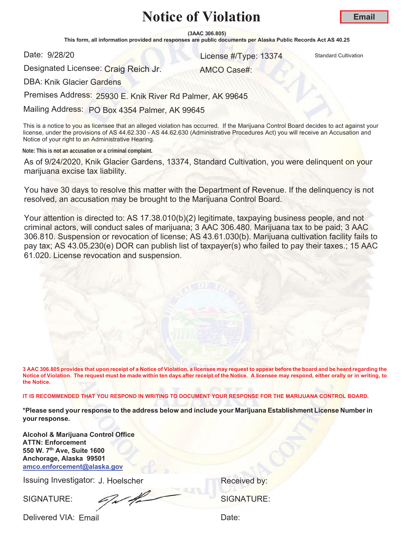**(3AAC 306.805)**

This form, all information provided and responses are public documents per Alaska Public Records Act AS 40.25

Date: 9/28/20

and 28/20 **13374** Standard Cultivation Cultivation

AMCO Case#:

**Email**

Designated Licensee: Craig Reich Jr.

DBA: Knik Glacier Gardens

Premises Address: 25930 E. Knik River Rd Palmer, AK 99645

Mailing Address: PO Box 4354 Palmer, AK 99645

This is a notice to you as licensee that an alleged violation has occurred. If the Marijuana Control Board decides to act against your license, under the provisions of AS 44.62.330 - AS 44.62.630 (Administrative Procedures Act) you will receive an Accusation and Notice of your right to an Administrative Hearing.

**Note: This is not an accusation or a criminal complaint.**

As of 9/24/2020, Knik Glacier Gardens, 13374, Standard Cultivation, you were delinquent on your marijuana excise tax liability.

You have 30 days to resolve this matter with the Department of Revenue. If the delinquency is not resolved, an accusation may be brought to the Marijuana Control Board.

Your attention is directed to: AS 17.38.010(b)(2) legitimate, taxpaying business people, and not criminal actors, will conduct sales of marijuana; 3 AAC 306.480. Marijuana tax to be paid; 3 AAC 306.810. Suspension or revocation of license; AS 43.61.030(b). Marijuana cultivation facility fails to pay tax; AS 43.05.230(e) DOR can publish list of taxpayer(s) who failed to pay their taxes.; 15 AAC 61.020. License revocation and suspension.

**3 AAC 306.805 provides that upon receipt of a Notice of Violation, a licensee may request to appear before the board and be heard regarding the Notice of Violation. The request must be made within ten days after receipt of the Notice. A licensee may respond, either orally or in writing, to the Notice.** 

**IT IS RECOMMENDED THAT YOU RESPOND IN WRITING TO DOCUMENT YOUR RESPONSE FOR THE MARIJUANA CONTROL BOARD.**

**\*Please send your response to the address below and include your Marijuana Establishment License Number in your response.** 

**Alcohol & Marijuana Control Office ATTN: Enforcement 550 W. 7th Ave, Suite 1600 Anchorage, Alaska 99501 amco.enforcement@alaska.gov**

Issuing Investigator: J. Hoelscher **Election Control Control Control Control Control Control Control Control Control Control Control Control Control Control Control Control Control Control Control Control Control Control C** 

SIGNATURE: SIGNATURE: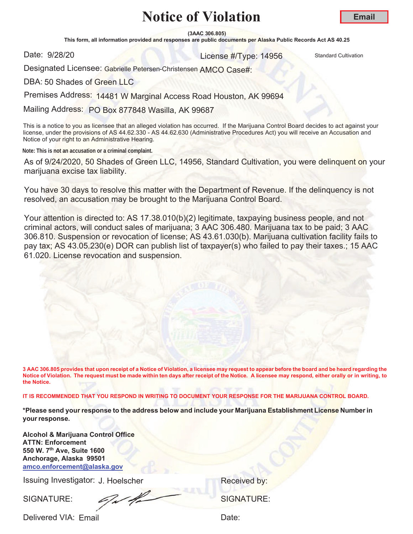**(3AAC 306.805)**

This form, all information provided and responses are public documents per Alaska Public Records Act AS 40.25

Date: 9/28/20

er and the United Standard Cultivation Control of the United Standard Cultivation Cultivation

Designated Licensee: Gabrielle Petersen-Christensen AMCO Case#:

DBA: 50 Shades of Green LLC

Premises Address: 14481 W Marginal Access Road Houston, AK 99694

Mailing Address: PO Box 877848 Wasilla, AK 99687

This is a notice to you as licensee that an alleged violation has occurred. If the Marijuana Control Board decides to act against your license, under the provisions of AS 44.62.330 - AS 44.62.630 (Administrative Procedures Act) you will receive an Accusation and Notice of your right to an Administrative Hearing.

**Note: This is not an accusation or a criminal complaint.**

As of 9/24/2020, 50 Shades of Green LLC, 14956, Standard Cultivation, you were delinquent on your marijuana excise tax liability.

You have 30 days to resolve this matter with the Department of Revenue. If the delinquency is not resolved, an accusation may be brought to the Marijuana Control Board.

Your attention is directed to: AS 17.38.010(b)(2) legitimate, taxpaying business people, and not criminal actors, will conduct sales of marijuana; 3 AAC 306.480. Marijuana tax to be paid; 3 AAC 306.810. Suspension or revocation of license; AS 43.61.030(b). Marijuana cultivation facility fails to pay tax; AS 43.05.230(e) DOR can publish list of taxpayer(s) who failed to pay their taxes.; 15 AAC 61.020. License revocation and suspension.

**3 AAC 306.805 provides that upon receipt of a Notice of Violation, a licensee may request to appear before the board and be heard regarding the Notice of Violation. The request must be made within ten days after receipt of the Notice. A licensee may respond, either orally or in writing, to the Notice.** 

**IT IS RECOMMENDED THAT YOU RESPOND IN WRITING TO DOCUMENT YOUR RESPONSE FOR THE MARIJUANA CONTROL BOARD.**

**\*Please send your response to the address below and include your Marijuana Establishment License Number in your response.** 

**Alcohol & Marijuana Control Office ATTN: Enforcement 550 W. 7th Ave, Suite 1600 Anchorage, Alaska 99501 amco.enforcement@alaska.gov**

Issuing Investigator: J. Hoelscher **Election Control Control Control Control Control Control Control Control Control Control Control Control Control Control Control Control Control Control Control Control Control Control C** 

SIGNATURE: SIGNATURE: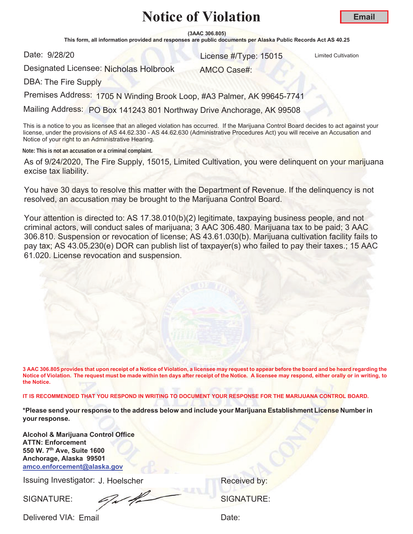**(3AAC 306.805)**

This form, all information provided and responses are public documents per Alaska Public Records Act AS 40.25

Date: 9/28/20

and the United Cultivation Control of the United Cultivation Control of the United Cultivation Control of the U

Designated Licensee: Nicholas Holbrook

AMCO Case#:

DBA: The Fire Supply

Premises Address: 1705 N Winding Brook Loop, #A3 Palmer, AK 99645-7741

Mailing Address: PO Box 141243 801 Northway Drive Anchorage, AK 99508

This is a notice to you as licensee that an alleged violation has occurred. If the Marijuana Control Board decides to act against your license, under the provisions of AS 44.62.330 - AS 44.62.630 (Administrative Procedures Act) you will receive an Accusation and Notice of your right to an Administrative Hearing.

**Note: This is not an accusation or a criminal complaint.**

As of 9/24/2020, The Fire Supply, 15015, Limited Cultivation, you were delinquent on your marijuana excise tax liability.

You have 30 days to resolve this matter with the Department of Revenue. If the delinquency is not resolved, an accusation may be brought to the Marijuana Control Board.

Your attention is directed to: AS 17.38.010(b)(2) legitimate, taxpaying business people, and not criminal actors, will conduct sales of marijuana; 3 AAC 306.480. Marijuana tax to be paid; 3 AAC 306.810. Suspension or revocation of license; AS 43.61.030(b). Marijuana cultivation facility fails to pay tax; AS 43.05.230(e) DOR can publish list of taxpayer(s) who failed to pay their taxes.; 15 AAC 61.020. License revocation and suspension.

**3 AAC 306.805 provides that upon receipt of a Notice of Violation, a licensee may request to appear before the board and be heard regarding the Notice of Violation. The request must be made within ten days after receipt of the Notice. A licensee may respond, either orally or in writing, to the Notice.** 

**IT IS RECOMMENDED THAT YOU RESPOND IN WRITING TO DOCUMENT YOUR RESPONSE FOR THE MARIJUANA CONTROL BOARD.**

**\*Please send your response to the address below and include your Marijuana Establishment License Number in your response.** 

**Alcohol & Marijuana Control Office ATTN: Enforcement 550 W. 7th Ave, Suite 1600 Anchorage, Alaska 99501 amco.enforcement@alaska.gov**

Issuing Investigator: J. Hoelscher **Election Control Control Control Control Control Control Control Control Control Control Control Control Control Control Control Control Control Control Control Control Control Control C** 

SIGNATURE: SIGNATURE: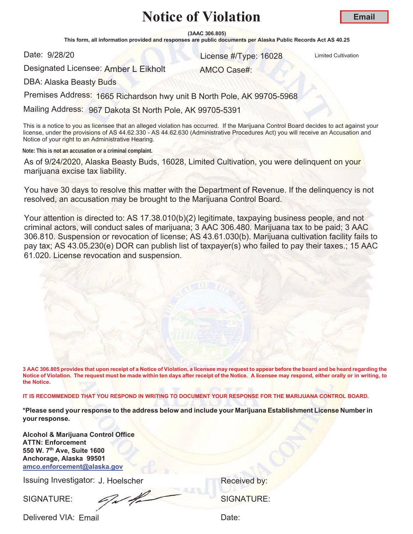**(3AAC 306.805)**

This form, all information provided and responses are public documents per Alaska Public Records Act AS 40.25

Date: 9/28/20

er and the United Cultivation Control of the United Cultivation Control of the United Cultivation

Designated Licensee: Amber L Eikholt

AMCO Case#:

DBA: Alaska Beasty Buds

Premises Address: 1665 Richardson hwy unit B North Pole, AK 99705-5968

Mailing Address: 967 Dakota St North Pole, AK 99705-5391

This is a notice to you as licensee that an alleged violation has occurred. If the Marijuana Control Board decides to act against your license, under the provisions of AS 44.62.330 - AS 44.62.630 (Administrative Procedures Act) you will receive an Accusation and Notice of your right to an Administrative Hearing.

**Note: This is not an accusation or a criminal complaint.**

As of 9/24/2020, Alaska Beasty Buds, 16028, Limited Cultivation, you were delinquent on your marijuana excise tax liability.

You have 30 days to resolve this matter with the Department of Revenue. If the delinquency is not resolved, an accusation may be brought to the Marijuana Control Board.

Your attention is directed to: AS 17.38.010(b)(2) legitimate, taxpaying business people, and not criminal actors, will conduct sales of marijuana; 3 AAC 306.480. Marijuana tax to be paid; 3 AAC 306.810. Suspension or revocation of license; AS 43.61.030(b). Marijuana cultivation facility fails to pay tax; AS 43.05.230(e) DOR can publish list of taxpayer(s) who failed to pay their taxes.; 15 AAC 61.020. License revocation and suspension.

**3 AAC 306.805 provides that upon receipt of a Notice of Violation, a licensee may request to appear before the board and be heard regarding the Notice of Violation. The request must be made within ten days after receipt of the Notice. A licensee may respond, either orally or in writing, to the Notice.** 

**IT IS RECOMMENDED THAT YOU RESPOND IN WRITING TO DOCUMENT YOUR RESPONSE FOR THE MARIJUANA CONTROL BOARD.**

**\*Please send your response to the address below and include your Marijuana Establishment License Number in your response.** 

**Alcohol & Marijuana Control Office ATTN: Enforcement 550 W. 7th Ave, Suite 1600 Anchorage, Alaska 99501 amco.enforcement@alaska.gov**

Issuing Investigator: J. Hoelscher **Election Control Control Control Control Control Control Control Control Control Control Control Control Control Control Control Control Control Control Control Control Control Control C** 

SIGNATURE: SIGNATURE: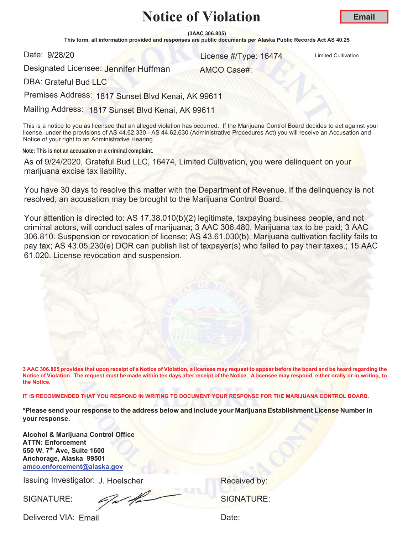**(3AAC 306.805)**

This form, all information provided and responses are public documents per Alaska Public Records Act AS 40.25

Date: 9/28/20

and 28/20 **16474** License #/Type: 16474 Limited Cultivation

Designated Licensee: <mark>Jennifer Huffman</mark>

AMCO Case#:

DBA: Grateful Bud LLC

Premises Address: 1817 Sunset Blvd Kenai, AK 99611

Mailing Address: 1817 Sunset Blvd Kenai, AK 99611

This is a notice to you as licensee that an alleged violation has occurred. If the Marijuana Control Board decides to act against your license, under the provisions of AS 44.62.330 - AS 44.62.630 (Administrative Procedures Act) you will receive an Accusation and Notice of your right to an Administrative Hearing.

**Note: This is not an accusation or a criminal complaint.**

As of 9/24/2020, Grateful Bud LLC, 16474, Limited Cultivation, you were delinquent on your marijuana excise tax liability.

You have 30 days to resolve this matter with the Department of Revenue. If the delinquency is not resolved, an accusation may be brought to the Marijuana Control Board.

Your attention is directed to: AS 17.38.010(b)(2) legitimate, taxpaying business people, and not criminal actors, will conduct sales of marijuana; 3 AAC 306.480. Marijuana tax to be paid; 3 AAC 306.810. Suspension or revocation of license; AS 43.61.030(b). Marijuana cultivation facility fails to pay tax; AS 43.05.230(e) DOR can publish list of taxpayer(s) who failed to pay their taxes.; 15 AAC 61.020. License revocation and suspension.

**3 AAC 306.805 provides that upon receipt of a Notice of Violation, a licensee may request to appear before the board and be heard regarding the Notice of Violation. The request must be made within ten days after receipt of the Notice. A licensee may respond, either orally or in writing, to the Notice.** 

**IT IS RECOMMENDED THAT YOU RESPOND IN WRITING TO DOCUMENT YOUR RESPONSE FOR THE MARIJUANA CONTROL BOARD.**

**\*Please send your response to the address below and include your Marijuana Establishment License Number in your response.**

**Alcohol & Marijuana Control Office ATTN: Enforcement 550 W. 7th Ave, Suite 1600 Anchorage, Alaska 99501 amco.enforcement@alaska.gov**

Issuing Investigator: J. Hoelscher **Election Control Control Control Control Control Control Control Control Control Control Control Control Control Control Control Control Control Control Control Control Control Control C** 

SIGNATURE: SIGNATURE: